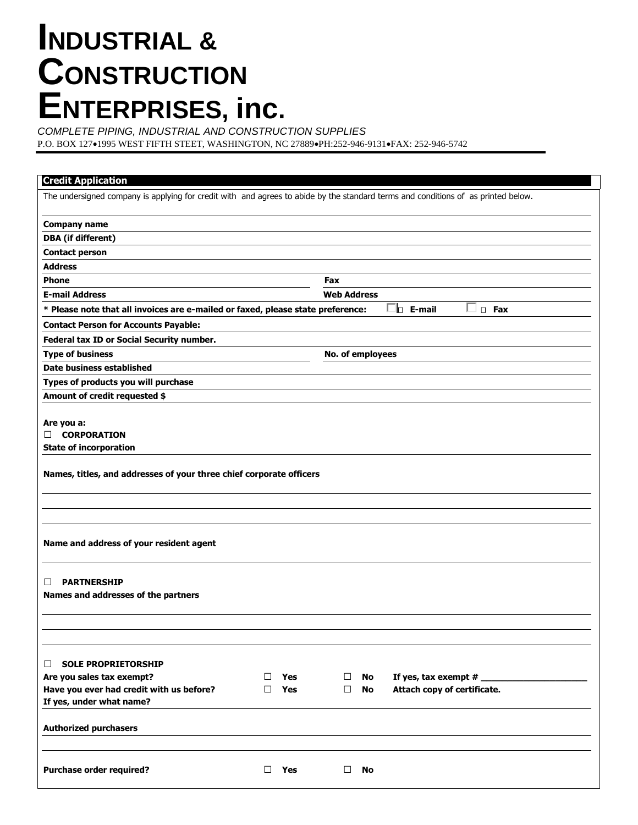## **INDUSTRIAL & CONSTRUCTION ENTERPRISES, inc.**

*COMPLETE PIPING, INDUSTRIAL AND CONSTRUCTION SUPPLIES*

P.O. BOX 127•1995 WEST FIFTH STEET, WASHINGTON, NC 27889•PH:252-946-9131•FAX: 252-946-5742

| <b>Credit Application</b>                                                                                                         |                    |           |                             |  |  |
|-----------------------------------------------------------------------------------------------------------------------------------|--------------------|-----------|-----------------------------|--|--|
| The undersigned company is applying for credit with and agrees to abide by the standard terms and conditions of as printed below. |                    |           |                             |  |  |
| <b>Company name</b>                                                                                                               |                    |           |                             |  |  |
| <b>DBA</b> (if different)                                                                                                         |                    |           |                             |  |  |
| <b>Contact person</b>                                                                                                             |                    |           |                             |  |  |
| <b>Address</b>                                                                                                                    |                    |           |                             |  |  |
| <b>Phone</b>                                                                                                                      | Fax                |           |                             |  |  |
| <b>E-mail Address</b>                                                                                                             | <b>Web Address</b> |           |                             |  |  |
| l⊓ E-mail<br>$\square$ Fax<br>* Please note that all invoices are e-mailed or faxed, please state preference:                     |                    |           |                             |  |  |
| <b>Contact Person for Accounts Payable:</b>                                                                                       |                    |           |                             |  |  |
| Federal tax ID or Social Security number.                                                                                         |                    |           |                             |  |  |
| <b>Type of business</b>                                                                                                           | No. of employees   |           |                             |  |  |
| Date business established                                                                                                         |                    |           |                             |  |  |
| Types of products you will purchase                                                                                               |                    |           |                             |  |  |
| Amount of credit requested \$                                                                                                     |                    |           |                             |  |  |
| Are you a:<br>П.<br><b>CORPORATION</b><br><b>State of incorporation</b>                                                           |                    |           |                             |  |  |
| Names, titles, and addresses of your three chief corporate officers                                                               |                    |           |                             |  |  |
|                                                                                                                                   |                    |           |                             |  |  |
| Name and address of your resident agent                                                                                           |                    |           |                             |  |  |
| <b>PARTNERSHIP</b><br>П<br>Names and addresses of the partners                                                                    |                    |           |                             |  |  |
|                                                                                                                                   |                    |           |                             |  |  |
| <b>SOLE PROPRIETORSHIP</b><br>$\Box$                                                                                              |                    |           |                             |  |  |
| Are you sales tax exempt?<br>Yes<br>$\perp$                                                                                       | □                  | No        | If yes, tax exempt $#_$     |  |  |
| Have you ever had credit with us before?<br>Yes<br>П                                                                              | $\Box$             | No        | Attach copy of certificate. |  |  |
| If yes, under what name?                                                                                                          |                    |           |                             |  |  |
| <b>Authorized purchasers</b>                                                                                                      |                    |           |                             |  |  |
| <b>Purchase order required?</b><br>□<br>Yes                                                                                       | □                  | <b>No</b> |                             |  |  |